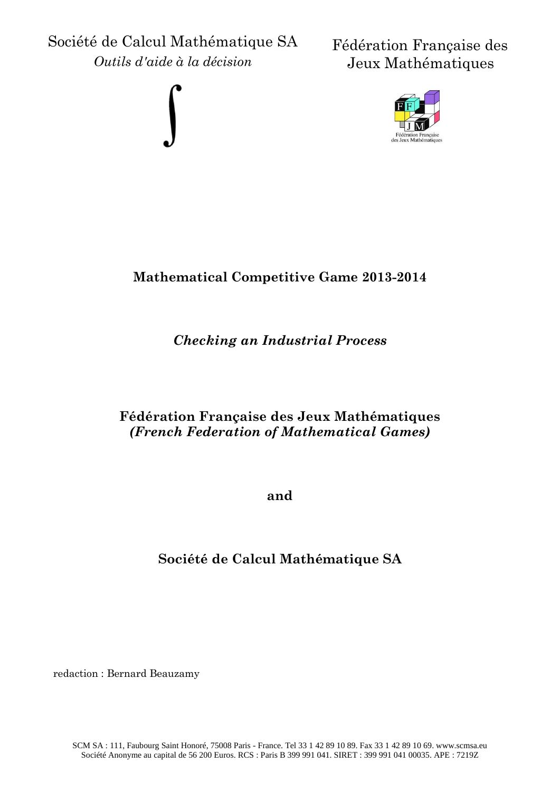Société de Calcul Mathématique SA *Outils d'aide à la décision*



Fédération Française des Jeux Mathématiques



# **Mathematical Competitive Game 2013-2014**

# *Checking an Industrial Process*

## **Fédération Française des Jeux Mathématiques**  *(French Federation of Mathematical Games)*

**and**

# **Société de Calcul Mathématique SA**

redaction : Bernard Beauzamy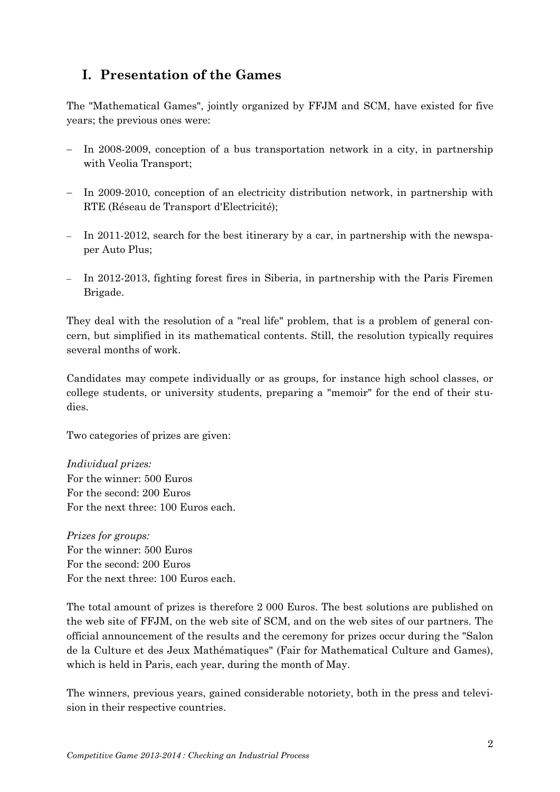## **I. Presentation of the Games**

The "Mathematical Games", jointly organized by FFJM and SCM, have existed for five years; the previous ones were:

- $\overline{I}$  In 2008-2009, conception of a bus transportation network in a city, in partnership with Veolia Transport;
- In 2009-2010, conception of an electricity distribution network, in partnership with RTE (Réseau de Transport d'Electricité);
- In 2011-2012, search for the best itinerary by a car, in partnership with the newspaper Auto Plus;
- In 2012-2013, fighting forest fires in Siberia, in partnership with the Paris Firemen Brigade.

They deal with the resolution of a "real life" problem, that is a problem of general concern, but simplified in its mathematical contents. Still, the resolution typically requires several months of work.

Candidates may compete individually or as groups, for instance high school classes, or college students, or university students, preparing a "memoir" for the end of their studies.

Two categories of prizes are given:

*Individual prizes:* For the winner: 500 Euros For the second: 200 Euros For the next three: 100 Euros each.

*Prizes for groups:* For the winner: 500 Euros For the second: 200 Euros For the next three: 100 Euros each.

The total amount of prizes is therefore 2 000 Euros. The best solutions are published on the web site of FFJM, on the web site of SCM, and on the web sites of our partners. The official announcement of the results and the ceremony for prizes occur during the "Salon de la Culture et des Jeux Mathématiques" (Fair for Mathematical Culture and Games), which is held in Paris, each year, during the month of May.

The winners, previous years, gained considerable notoriety, both in the press and television in their respective countries.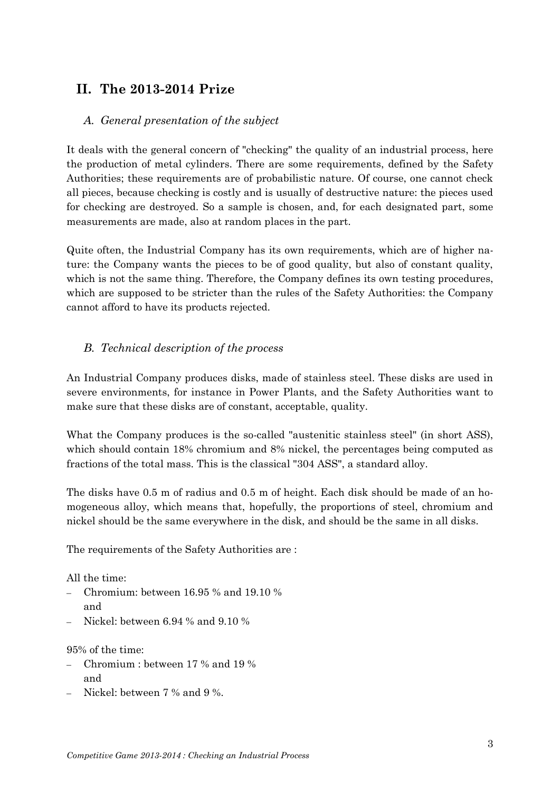## **II. The 2013-2014 Prize**

#### *A. General presentation of the subject*

It deals with the general concern of "checking" the quality of an industrial process, here the production of metal cylinders. There are some requirements, defined by the Safety Authorities; these requirements are of probabilistic nature. Of course, one cannot check all pieces, because checking is costly and is usually of destructive nature: the pieces used for checking are destroyed. So a sample is chosen, and, for each designated part, some measurements are made, also at random places in the part.

Quite often, the Industrial Company has its own requirements, which are of higher nature: the Company wants the pieces to be of good quality, but also of constant quality, which is not the same thing. Therefore, the Company defines its own testing procedures, which are supposed to be stricter than the rules of the Safety Authorities: the Company cannot afford to have its products rejected.

#### *B. Technical description of the process*

An Industrial Company produces disks, made of stainless steel. These disks are used in severe environments, for instance in Power Plants, and the Safety Authorities want to make sure that these disks are of constant, acceptable, quality.

What the Company produces is the so-called "austenitic stainless steel" (in short ASS), which should contain 18% chromium and 8% nickel, the percentages being computed as fractions of the total mass. This is the classical "304 ASS", a standard alloy.

The disks have 0.5 m of radius and 0.5 m of height. Each disk should be made of an homogeneous alloy, which means that, hopefully, the proportions of steel, chromium and nickel should be the same everywhere in the disk, and should be the same in all disks.

The requirements of the Safety Authorities are :

All the time:

- Chromium: between 16.95 % and 19.10 % and
- Nickel: between 6.94 % and 9.10 %

95% of the time:

- Chromium : between 17 % and 19 % and
- $\sim$  Nickel: between 7 % and 9 %.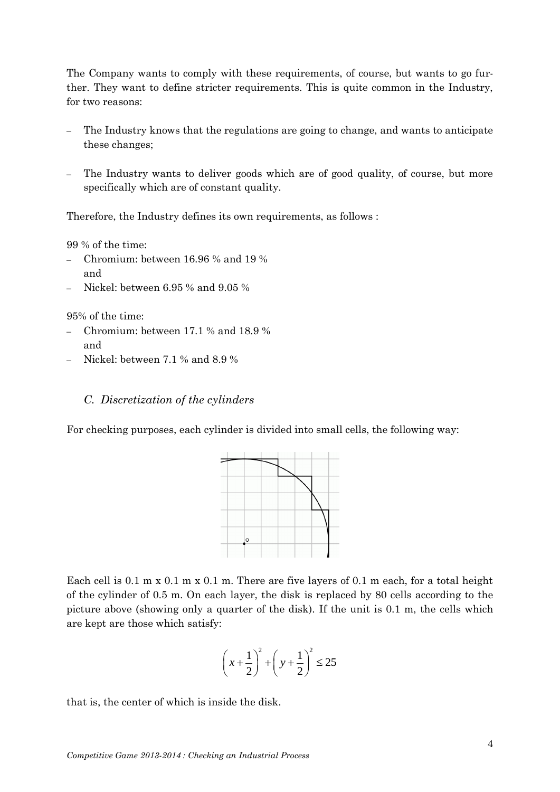The Company wants to comply with these requirements, of course, but wants to go further. They want to define stricter requirements. This is quite common in the Industry, for two reasons:

- The Industry knows that the regulations are going to change, and wants to anticipate these changes;
- The Industry wants to deliver goods which are of good quality, of course, but more specifically which are of constant quality.

Therefore, the Industry defines its own requirements, as follows :

99 % of the time:

- Chromium: between 16.96 % and 19 % and
- Nickel: between 6.95 % and 9.05 %

95% of the time:

- Chromium: between 17.1 % and 18.9 % and
- Nickel: between 7.1 % and 8.9 %

#### *C. Discretization of the cylinders*

For checking purposes, each cylinder is divided into small cells, the following way:



Each cell is 0.1 m x 0.1 m x 0.1 m. There are five layers of 0.1 m each, for a total height of the cylinder of 0.5 m. On each layer, the disk is replaced by 80 cells according to the picture above (showing only a quarter of the disk). If the unit is 0.1 m, the cells which are kept are those which satisfy:

$$
\left(x+\frac{1}{2}\right)^2 + \left(y+\frac{1}{2}\right)^2 \le 25
$$

that is, the center of which is inside the disk.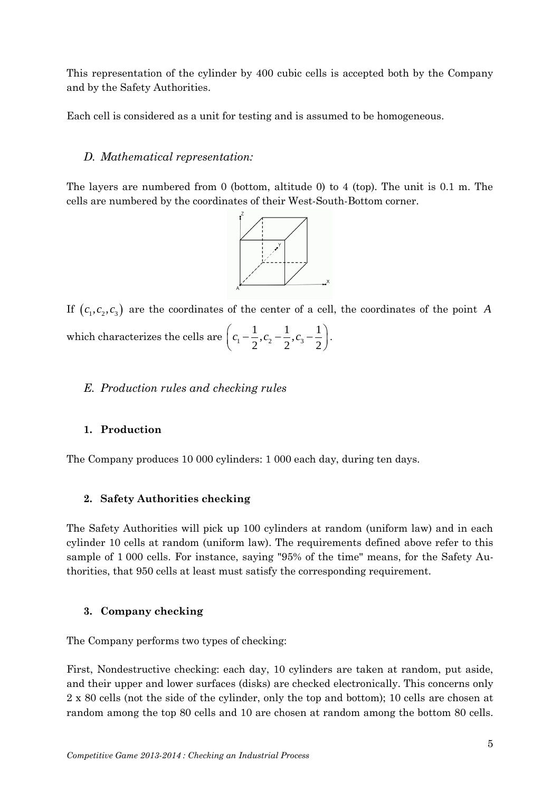This representation of the cylinder by 400 cubic cells is accepted both by the Company and by the Safety Authorities.

Each cell is considered as a unit for testing and is assumed to be homogeneous.

#### *D. Mathematical representation:*

The layers are numbered from 0 (bottom, altitude 0) to 4 (top). The unit is 0.1 m. The cells are numbered by the coordinates of their West-South-Bottom corner.



If  $(c_1, c_2, c_3)$  are the coordinates of the center of a cell, the coordinates of the point A which characterizes the cells are  $\left(c_1 - \frac{1}{2}, c_2 - \frac{1}{2}, c_3\right)$  $\frac{1}{2}$ ,  $c_2 - \frac{1}{2}$ ,  $c_3 - \frac{1}{2}$  $\frac{1}{2}$ ,  $c_2 - \frac{1}{2}$ ,  $c_3 - \frac{1}{2}$  $\left(c_1 - \frac{1}{2}, c_2 - \frac{1}{2}, c_3 - \frac{1}{2}\right)$ . .

#### *E. Production rules and checking rules*

#### **1. Production**

The Company produces 10 000 cylinders: 1 000 each day, during ten days.

#### **2. Safety Authorities checking**

The Safety Authorities will pick up 100 cylinders at random (uniform law) and in each cylinder 10 cells at random (uniform law). The requirements defined above refer to this sample of 1 000 cells. For instance, saying "95% of the time" means, for the Safety Authorities, that 950 cells at least must satisfy the corresponding requirement.

#### **3. Company checking**

The Company performs two types of checking:

First, Nondestructive checking: each day, 10 cylinders are taken at random, put aside, and their upper and lower surfaces (disks) are checked electronically. This concerns only 2 x 80 cells (not the side of the cylinder, only the top and bottom); 10 cells are chosen at random among the top 80 cells and 10 are chosen at random among the bottom 80 cells.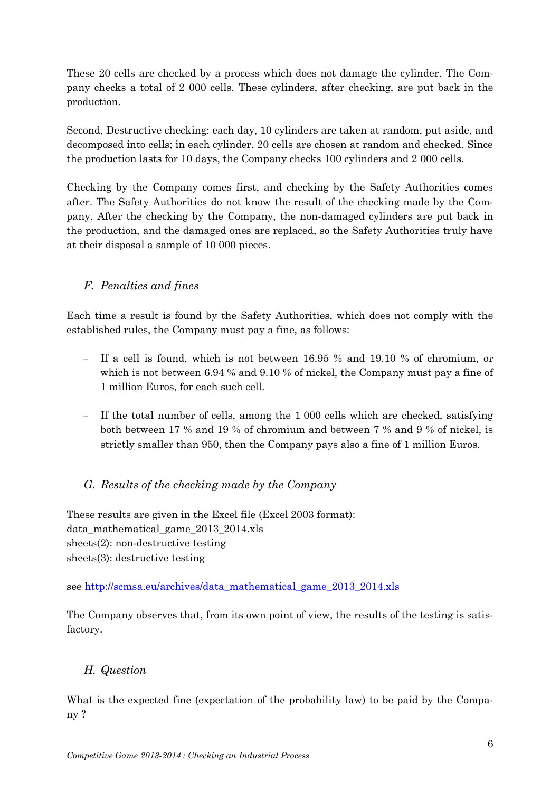These 20 cells are checked by a process which does not damage the cylinder. The Company checks a total of 2 000 cells. These cylinders, after checking, are put back in the production.

Second, Destructive checking: each day, 10 cylinders are taken at random, put aside, and decomposed into cells; in each cylinder, 20 cells are chosen at random and checked. Since the production lasts for 10 days, the Company checks 100 cylinders and 2 000 cells.

Checking by the Company comes first, and checking by the Safety Authorities comes after. The Safety Authorities do not know the result of the checking made by the Company. After the checking by the Company, the non-damaged cylinders are put back in the production, and the damaged ones are replaced, so the Safety Authorities truly have at their disposal a sample of 10 000 pieces.

### *F. Penalties and fines*

Each time a result is found by the Safety Authorities, which does not comply with the established rules, the Company must pay a fine, as follows:

- If a cell is found, which is not between 16.95 % and 19.10 % of chromium, or which is not between 6.94 % and 9.10 % of nickel, the Company must pay a fine of 1 million Euros, for each such cell.
- If the total number of cells, among the 1 000 cells which are checked, satisfying both between 17 % and 19 % of chromium and between 7 % and 9 % of nickel, is strictly smaller than 950, then the Company pays also a fine of 1 million Euros.

### *G. Results of the checking made by the Company*

These results are given in the Excel file (Excel 2003 format): data mathematical game 2013 2014.xls sheets(2): non-destructive testing sheets(3): destructive testing

see [http://scmsa.eu/archives/data\\_mathematical\\_game\\_2013\\_2014.xls](http://scmsa.eu/archives/data_mathematical_game_2013_2014.xls)

The Company observes that, from its own point of view, the results of the testing is satisfactory.

### *H. Question*

What is the expected fine (expectation of the probability law) to be paid by the Company ?